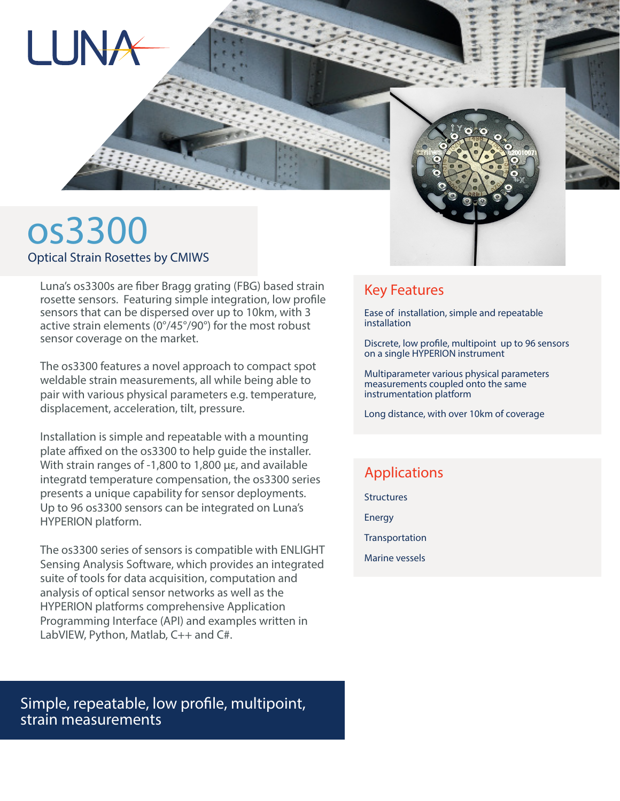

# os3300 Optical Strain Rosettes by CMIWS

LUN<sub>7</sub>

Luna's os3300s are fiber Bragg grating (FBG) based strain rosette sensors. Featuring simple integration, low profile sensors that can be dispersed over up to 10km, with 3 active strain elements (0°/45°/90°) for the most robust sensor coverage on the market.

The os3300 features a novel approach to compact spot weldable strain measurements, all while being able to pair with various physical parameters e.g. temperature, displacement, acceleration, tilt, pressure.

Installation is simple and repeatable with a mounting plate affixed on the os3300 to help guide the installer. With strain ranges of -1,800 to 1,800 με, and available integratd temperature compensation, the os3300 series presents a unique capability for sensor deployments. Up to 96 os3300 sensors can be integrated on Luna's HYPERION platform.

The os3300 series of sensors is compatible with ENLIGHT Sensing Analysis Software, which provides an integrated suite of tools for data acquisition, computation and analysis of optical sensor networks as well as the HYPERION platforms comprehensive Application Programming Interface (API) and examples written in LabVIEW, Python, Matlab, C++ and C#.

Simple, repeatable, low profile, multipoint, strain measurements

### Key Features

Ease of installation, simple and repeatable installation

Discrete, low profile, multipoint up to 96 sensors on a single HYPERION instrument

Multiparameter various physical parameters measurements coupled onto the same instrumentation platform

Long distance, with over 10km of coverage

## Applications

**Structures** 

Energy

**Transportation** 

Marine vessels